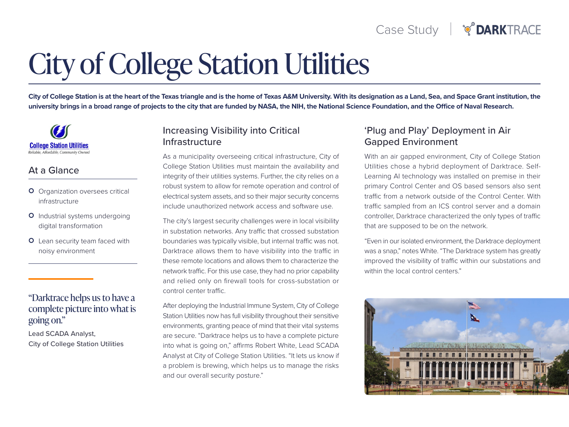# **City of College Station Utilities**

City of College Station is at the heart of the Texas triangle and is the home of Texas A&M University. With its designation as a Land, Sea, and Space Grant institution, the university brings in a broad range of projects to the city that are funded by NASA, the NIH, the National Science Foundation, and the Office of Naval Research.

**College Station Utilities** 

### At a Glance

- **O** Organization oversees critical infrastructure
- O Industrial systems undergoing digital transformation
- O Lean security team faced with noisy environment

#### "Darktrace helps us to have a complete picture into what is going on."

Lead SCADA Analyst, City of College Station Utilities

### Increasing Visibility into Critical Infrastructure

As a municipality overseeing critical infrastructure, City of College Station Utilities must maintain the availability and integrity of their utilities systems. Further, the city relies on a robust system to allow for remote operation and control of electrical system assets, and so their major security concerns include unauthorized network access and software use.

The city's largest security challenges were in local visibility in substation networks. Any traffic that crossed substation boundaries was typically visible, but internal traffic was not. Darktrace allows them to have visibility into the traffic in these remote locations and allows them to characterize the network traffic. For this use case, they had no prior capability and relied only on firewall tools for cross-substation or control center traffic

After deploying the Industrial Immune System, City of College Station Utilities now has full visibility throughout their sensitive environments, granting peace of mind that their vital systems are secure. "Darktrace helps us to have a complete picture into what is going on," affirms Robert White, Lead SCADA Analyst at City of College Station Utilities. "It lets us know if a problem is brewing, which helps us to manage the risks and our overall security posture."

### 'Plug and Play' Deployment in Air Gapped Environment

With an air gapped environment, City of College Station Learning AI technology was installed on premise in their Utilities chose a hybrid deployment of Darktrace. Selfprimary Control Center and OS based sensors also sent traffic from a network outside of the Control Center. With traffic sampled from an ICS control server and a domain controller, Darktrace characterized the only types of traffic that are supposed to be on the network.

"Even in our isolated environment, the Darktrace deployment was a snap," notes White. "The Darktrace system has greatly improved the visibility of traffic within our substations and within the local control centers."